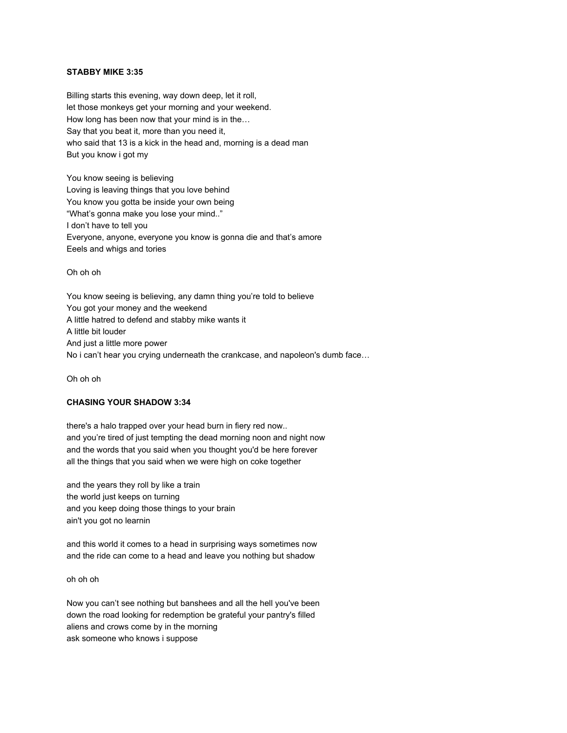#### **STABBY MIKE 3:35**

Billing starts this evening, way down deep, let it roll, let those monkeys get your morning and your weekend. How long has been now that your mind is in the… Say that you beat it, more than you need it, who said that 13 is a kick in the head and, morning is a dead man But you know i got my

You know seeing is believing Loving is leaving things that you love behind You know you gotta be inside your own being "What's gonna make you lose your mind.." I don't have to tell you Everyone, anyone, everyone you know is gonna die and that's amore Eeels and whigs and tories

Oh oh oh

You know seeing is believing, any damn thing you're told to believe You got your money and the weekend A little hatred to defend and stabby mike wants it A little bit louder And just a little more power No i can't hear you crying underneath the crankcase, and napoleon's dumb face…

Oh oh oh

# **CHASING YOUR SHADOW 3:34**

there's a halo trapped over your head burn in fiery red now.. and you're tired of just tempting the dead morning noon and night now and the words that you said when you thought you'd be here forever all the things that you said when we were high on coke together

and the years they roll by like a train the world just keeps on turning and you keep doing those things to your brain ain't you got no learnin

and this world it comes to a head in surprising ways sometimes now and the ride can come to a head and leave you nothing but shadow

oh oh oh

Now you can't see nothing but banshees and all the hell you've been down the road looking for redemption be grateful your pantry's filled aliens and crows come by in the morning ask someone who knows i suppose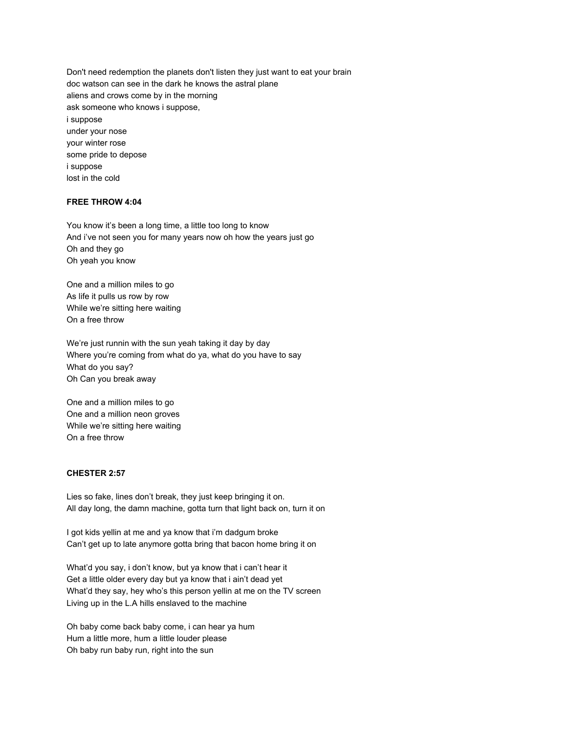Don't need redemption the planets don't listen they just want to eat your brain doc watson can see in the dark he knows the astral plane aliens and crows come by in the morning ask someone who knows i suppose, i suppose under your nose your winter rose some pride to depose i suppose lost in the cold

#### **FREE THROW 4:04**

You know it's been a long time, a little too long to know And i've not seen you for many years now oh how the years just go Oh and they go Oh yeah you know

One and a million miles to go As life it pulls us row by row While we're sitting here waiting On a free throw

We're just runnin with the sun yeah taking it day by day Where you're coming from what do ya, what do you have to say What do you say? Oh Can you break away

One and a million miles to go One and a million neon groves While we're sitting here waiting On a free throw

# **CHESTER 2:57**

Lies so fake, lines don't break, they just keep bringing it on. All day long, the damn machine, gotta turn that light back on, turn it on

I got kids yellin at me and ya know that i'm dadgum broke Can't get up to late anymore gotta bring that bacon home bring it on

What'd you say, i don't know, but ya know that i can't hear it Get a little older every day but ya know that i ain't dead yet What'd they say, hey who's this person yellin at me on the TV screen Living up in the L.A hills enslaved to the machine

Oh baby come back baby come, i can hear ya hum Hum a little more, hum a little louder please Oh baby run baby run, right into the sun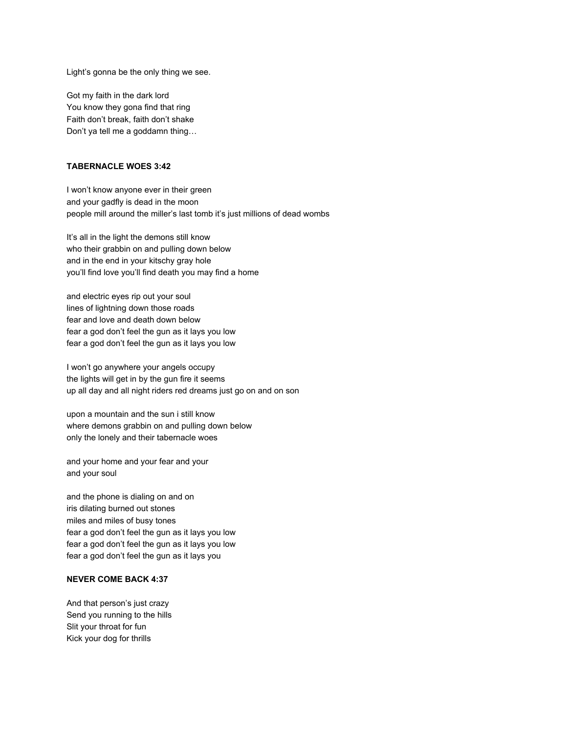Light's gonna be the only thing we see.

Got my faith in the dark lord You know they gona find that ring Faith don't break, faith don't shake Don't ya tell me a goddamn thing…

#### **TABERNACLE WOES 3:42**

I won't know anyone ever in their green and your gadfly is dead in the moon people mill around the miller's last tomb it's just millions of dead wombs

It's all in the light the demons still know who their grabbin on and pulling down below and in the end in your kitschy gray hole you'll find love you'll find death you may find a home

and electric eyes rip out your soul lines of lightning down those roads fear and love and death down below fear a god don't feel the gun as it lays you low fear a god don't feel the gun as it lays you low

I won't go anywhere your angels occupy the lights will get in by the gun fire it seems up all day and all night riders red dreams just go on and on son

upon a mountain and the sun i still know where demons grabbin on and pulling down below only the lonely and their tabernacle woes

and your home and your fear and your and your soul

and the phone is dialing on and on iris dilating burned out stones miles and miles of busy tones fear a god don't feel the gun as it lays you low fear a god don't feel the gun as it lays you low fear a god don't feel the gun as it lays you

### **NEVER COME BACK 4:37**

And that person's just crazy Send you running to the hills Slit your throat for fun Kick your dog for thrills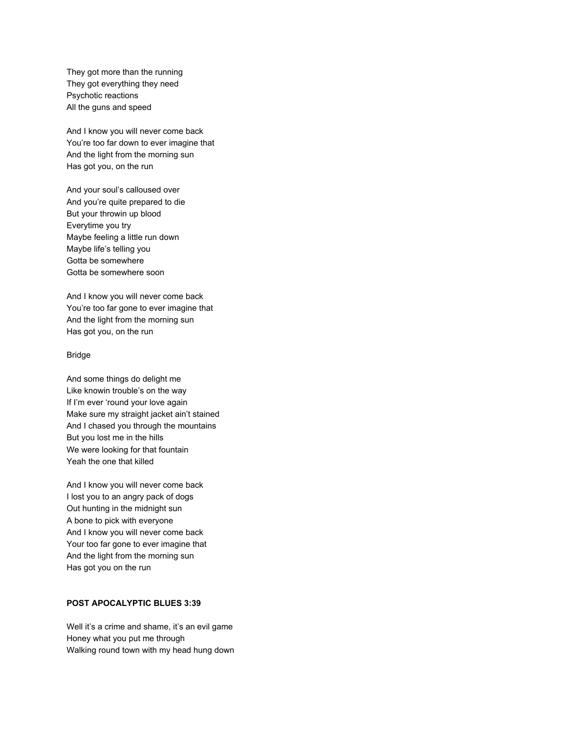They got more than the running They got everything they need Psychotic reactions All the guns and speed

And I know you will never come back You're too far down to ever imagine that And the light from the morning sun Has got you, on the run

And your soul's calloused over And you're quite prepared to die But your throwin up blood Everytime you try Maybe feeling a little run down Maybe life's telling you Gotta be somewhere Gotta be somewhere soon

And I know you will never come back You're too far gone to ever imagine that And the light from the morning sun Has got you, on the run

#### Bridge

And some things do delight me Like knowin trouble's on the way If I'm ever 'round your love again Make sure my straight jacket ain't stained And I chased you through the mountains But you lost me in the hills We were looking for that fountain Yeah the one that killed

And I know you will never come back I lost you to an angry pack of dogs Out hunting in the midnight sun A bone to pick with everyone And I know you will never come back Your too far gone to ever imagine that And the light from the morning sun Has got you on the run

### **POST APOCALYPTIC BLUES 3:39**

Well it's a crime and shame, it's an evil game Honey what you put me through Walking round town with my head hung down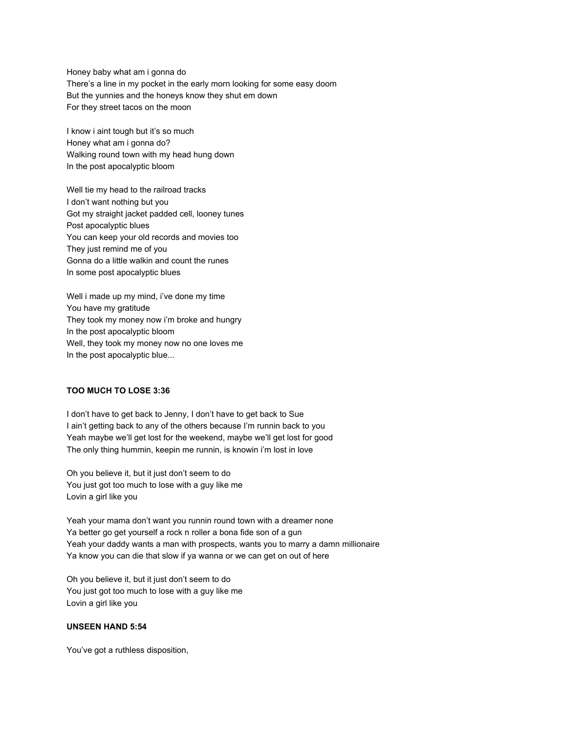Honey baby what am i gonna do There's a line in my pocket in the early morn looking for some easy doom But the yunnies and the honeys know they shut em down For they street tacos on the moon

I know i aint tough but it's so much Honey what am i gonna do? Walking round town with my head hung down In the post apocalyptic bloom

Well tie my head to the railroad tracks I don't want nothing but you Got my straight jacket padded cell, looney tunes Post apocalyptic blues You can keep your old records and movies too They just remind me of you Gonna do a little walkin and count the runes In some post apocalyptic blues

Well i made up my mind, i've done my time You have my gratitude They took my money now i'm broke and hungry In the post apocalyptic bloom Well, they took my money now no one loves me In the post apocalyptic blue...

### **TOO MUCH TO LOSE 3:36**

I don't have to get back to Jenny, I don't have to get back to Sue I ain't getting back to any of the others because I'm runnin back to you Yeah maybe we'll get lost for the weekend, maybe we'll get lost for good The only thing hummin, keepin me runnin, is knowin i'm lost in love

Oh you believe it, but it just don't seem to do You just got too much to lose with a guy like me Lovin a girl like you

Yeah your mama don't want you runnin round town with a dreamer none Ya better go get yourself a rock n roller a bona fide son of a gun Yeah your daddy wants a man with prospects, wants you to marry a damn millionaire Ya know you can die that slow if ya wanna or we can get on out of here

Oh you believe it, but it just don't seem to do You just got too much to lose with a guy like me Lovin a girl like you

### **UNSEEN HAND 5:54**

You've got a ruthless disposition,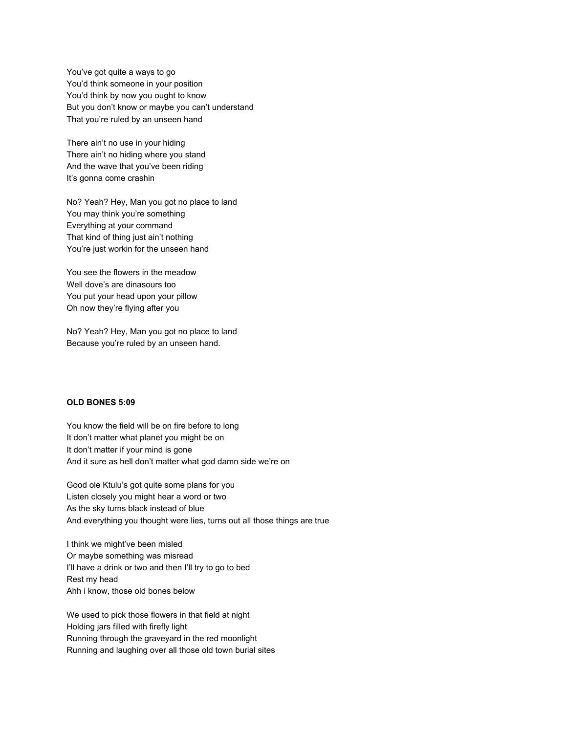You've got quite a ways to go You'd think someone in your position You'd think by now you ought to know But you don't know or maybe you can't understand That you're ruled by an unseen hand

There ain't no use in your hiding There ain't no hiding where you stand And the wave that you've been riding It's gonna come crashin

No? Yeah? Hey, Man you got no place to land You may think you're something Everything at your command That kind of thing just ain't nothing You're just workin for the unseen hand

You see the flowers in the meadow Well dove's are dinasours too You put your head upon your pillow Oh now they're flying after you

No? Yeah? Hey, Man you got no place to land Because you're ruled by an unseen hand.

# **OLD BONES 5:09**

You know the field will be on fire before to long It don't matter what planet you might be on It don't matter if your mind is gone And it sure as hell don't matter what god damn side we're on

Good ole Ktulu's got quite some plans for you Listen closely you might hear a word or two As the sky turns black instead of blue And everything you thought were lies, turns out all those things are true

I think we might've been misled Or maybe something was misread I'll have a drink or two and then I'll try to go to bed Rest my head Ahh i know, those old bones below

We used to pick those flowers in that field at night Holding jars filled with firefly light Running through the graveyard in the red moonlight Running and laughing over all those old town burial sites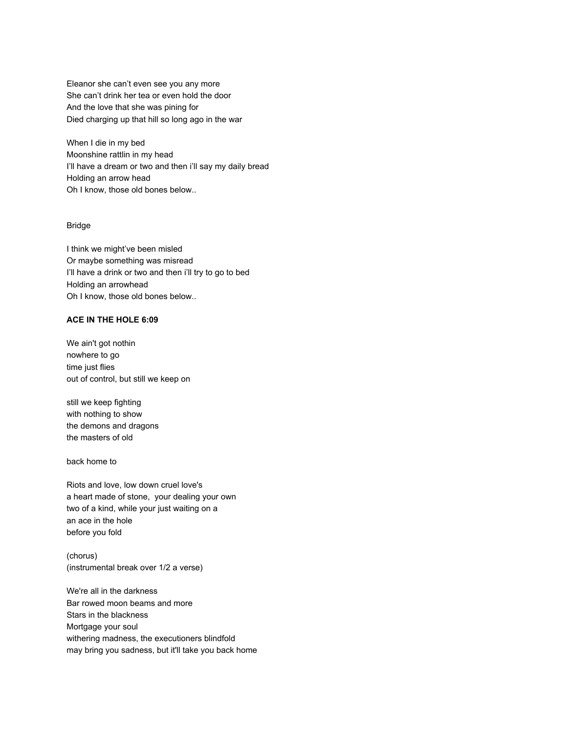Eleanor she can't even see you any more She can't drink her tea or even hold the door And the love that she was pining for Died charging up that hill so long ago in the war

When I die in my bed Moonshine rattlin in my head I'll have a dream or two and then i'll say my daily bread Holding an arrow head Oh I know, those old bones below..

### Bridge

I think we might've been misled Or maybe something was misread I'll have a drink or two and then i'll try to go to bed Holding an arrowhead Oh I know, those old bones below..

#### **ACE IN THE HOLE 6:09**

We ain't got nothin nowhere to go time just flies out of control, but still we keep on

still we keep fighting with nothing to show the demons and dragons the masters of old

back home to

Riots and love, low down cruel love's a heart made of stone, your dealing your own two of a kind, while your just waiting on a an ace in the hole before you fold

(chorus) (instrumental break over 1/2 a verse)

We're all in the darkness Bar rowed moon beams and more Stars in the blackness Mortgage your soul withering madness, the executioners blindfold may bring you sadness, but it'll take you back home